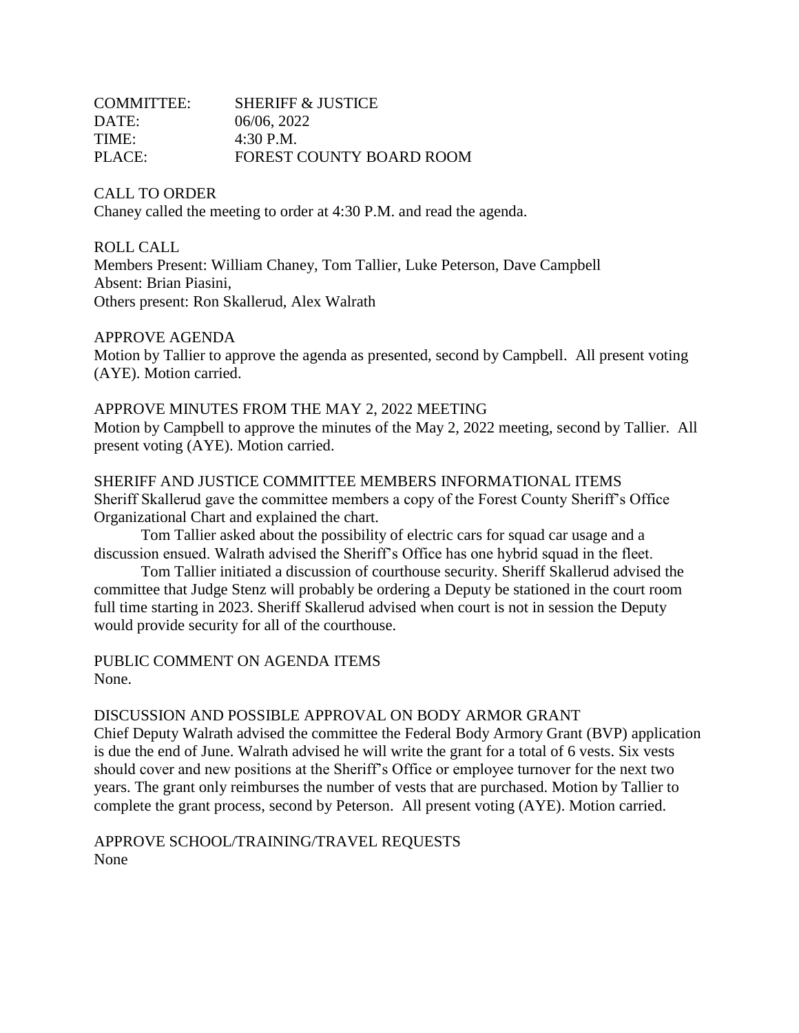| <b>COMMITTEE:</b> | <b>SHERIFF &amp; JUSTICE</b> |
|-------------------|------------------------------|
| DATE:             | 06/06, 2022                  |
| TIME:             | $4:30$ P.M.                  |
| PLACE:            | FOREST COUNTY BOARD ROOM     |

CALL TO ORDER Chaney called the meeting to order at 4:30 P.M. and read the agenda.

# ROLL CALL Members Present: William Chaney, Tom Tallier, Luke Peterson, Dave Campbell Absent: Brian Piasini, Others present: Ron Skallerud, Alex Walrath

# APPROVE AGENDA

Motion by Tallier to approve the agenda as presented, second by Campbell. All present voting (AYE). Motion carried.

# APPROVE MINUTES FROM THE MAY 2, 2022 MEETING

Motion by Campbell to approve the minutes of the May 2, 2022 meeting, second by Tallier. All present voting (AYE). Motion carried.

SHERIFF AND JUSTICE COMMITTEE MEMBERS INFORMATIONAL ITEMS Sheriff Skallerud gave the committee members a copy of the Forest County Sheriff's Office Organizational Chart and explained the chart.

Tom Tallier asked about the possibility of electric cars for squad car usage and a discussion ensued. Walrath advised the Sheriff's Office has one hybrid squad in the fleet.

Tom Tallier initiated a discussion of courthouse security. Sheriff Skallerud advised the committee that Judge Stenz will probably be ordering a Deputy be stationed in the court room full time starting in 2023. Sheriff Skallerud advised when court is not in session the Deputy would provide security for all of the courthouse.

PUBLIC COMMENT ON AGENDA ITEMS None.

### DISCUSSION AND POSSIBLE APPROVAL ON BODY ARMOR GRANT

Chief Deputy Walrath advised the committee the Federal Body Armory Grant (BVP) application is due the end of June. Walrath advised he will write the grant for a total of 6 vests. Six vests should cover and new positions at the Sheriff's Office or employee turnover for the next two years. The grant only reimburses the number of vests that are purchased. Motion by Tallier to complete the grant process, second by Peterson. All present voting (AYE). Motion carried.

APPROVE SCHOOL/TRAINING/TRAVEL REQUESTS None